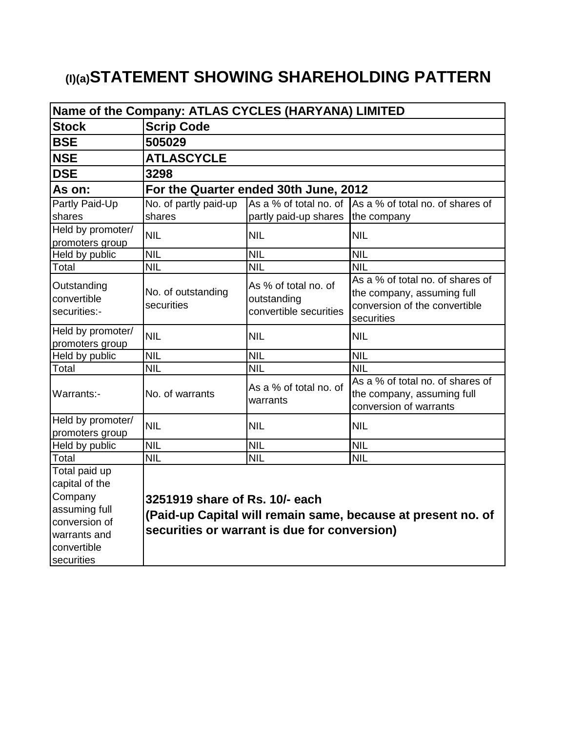# **(I)(a)STATEMENT SHOWING SHAREHOLDING PATTERN**

| Name of the Company: ATLAS CYCLES (HARYANA) LIMITED                                                         |                                                                                                                                                |                                                               |                                                                                                               |  |  |  |  |
|-------------------------------------------------------------------------------------------------------------|------------------------------------------------------------------------------------------------------------------------------------------------|---------------------------------------------------------------|---------------------------------------------------------------------------------------------------------------|--|--|--|--|
| <b>Stock</b>                                                                                                | <b>Scrip Code</b>                                                                                                                              |                                                               |                                                                                                               |  |  |  |  |
| <b>BSE</b>                                                                                                  | 505029                                                                                                                                         |                                                               |                                                                                                               |  |  |  |  |
| <b>NSE</b>                                                                                                  | <b>ATLASCYCLE</b>                                                                                                                              |                                                               |                                                                                                               |  |  |  |  |
| <b>DSE</b>                                                                                                  | 3298                                                                                                                                           |                                                               |                                                                                                               |  |  |  |  |
| As on:                                                                                                      |                                                                                                                                                | For the Quarter ended 30th June, 2012                         |                                                                                                               |  |  |  |  |
| <b>Partly Paid-Up</b>                                                                                       | No. of partly paid-up                                                                                                                          |                                                               | As a % of total no. of As a % of total no. of shares of                                                       |  |  |  |  |
| shares                                                                                                      | shares                                                                                                                                         | partly paid-up shares the company                             |                                                                                                               |  |  |  |  |
| Held by promoter/<br>promoters group                                                                        | <b>NIL</b>                                                                                                                                     | <b>NIL</b>                                                    | <b>NIL</b>                                                                                                    |  |  |  |  |
| Held by public                                                                                              | <b>NIL</b>                                                                                                                                     | <b>NIL</b>                                                    | <b>NIL</b>                                                                                                    |  |  |  |  |
| Total                                                                                                       | <b>NIL</b>                                                                                                                                     | <b>NIL</b>                                                    | <b>NIL</b>                                                                                                    |  |  |  |  |
| Outstanding<br>convertible<br>securities:-                                                                  | No. of outstanding<br>securities                                                                                                               | As % of total no. of<br>outstanding<br>convertible securities | As a % of total no. of shares of<br>the company, assuming full<br>conversion of the convertible<br>securities |  |  |  |  |
| Held by promoter/<br>promoters group                                                                        | <b>NIL</b>                                                                                                                                     | <b>NIL</b>                                                    | <b>NIL</b>                                                                                                    |  |  |  |  |
| Held by public                                                                                              | <b>NIL</b>                                                                                                                                     | <b>NIL</b>                                                    | <b>NIL</b>                                                                                                    |  |  |  |  |
| Total                                                                                                       | <b>NIL</b>                                                                                                                                     | <b>NIL</b>                                                    | $\overline{\text{NIL}}$                                                                                       |  |  |  |  |
| Warrants:-                                                                                                  | No. of warrants                                                                                                                                | As a % of total no. of<br>warrants                            | As a % of total no. of shares of<br>the company, assuming full<br>conversion of warrants                      |  |  |  |  |
| Held by promoter/<br>promoters group                                                                        | <b>NIL</b>                                                                                                                                     | <b>NIL</b>                                                    | <b>NIL</b>                                                                                                    |  |  |  |  |
| Held by public                                                                                              | <b>NIL</b>                                                                                                                                     | <b>NIL</b>                                                    | <b>NIL</b>                                                                                                    |  |  |  |  |
| Total                                                                                                       | <b>NIL</b>                                                                                                                                     | <b>NIL</b>                                                    | <b>NIL</b>                                                                                                    |  |  |  |  |
| Total paid up<br>capital of the<br>Company<br>assuming full<br>conversion of<br>warrants and<br>convertible | 3251919 share of Rs. 10/- each<br>(Paid-up Capital will remain same, because at present no. of<br>securities or warrant is due for conversion) |                                                               |                                                                                                               |  |  |  |  |
| securities                                                                                                  |                                                                                                                                                |                                                               |                                                                                                               |  |  |  |  |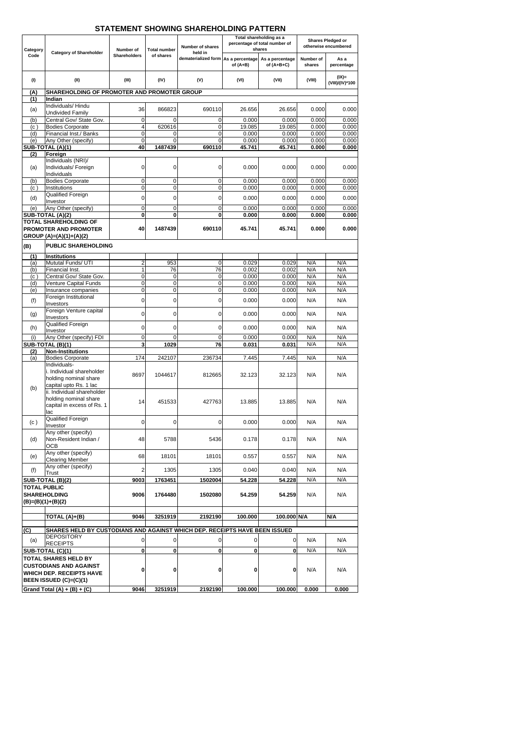| Category            | <b>Category of Shareholder</b>                                             | Number of           | <b>Total number</b> | <b>Number of shares</b><br>held in  | Total shareholding as a<br>percentage of total number of<br>shares |                                 | Shares Pledged or<br>otherwise encumbered |                             |
|---------------------|----------------------------------------------------------------------------|---------------------|---------------------|-------------------------------------|--------------------------------------------------------------------|---------------------------------|-------------------------------------------|-----------------------------|
| Code                |                                                                            | <b>Shareholders</b> | of shares           | dematerialized form As a percentage | of $(A+B)$                                                         | As a percentage<br>of $(A+B+C)$ | Number of<br>shares                       | As a<br>percentage          |
| (1)                 | (II)                                                                       | (III)               | (IV)                | (V)                                 | (VI)                                                               | (VII)                           | (VIII)                                    | $(IX)$ =<br>(VIII)/(IV)*100 |
| (A)                 | SHAREHOLDING OF PROMOTER AND PROMOTER GROUP                                |                     |                     |                                     |                                                                    |                                 |                                           |                             |
| (1)                 | Indian<br>Individuals/Hindu                                                |                     |                     |                                     |                                                                    |                                 |                                           |                             |
| (a)                 | <b>Undivided Family</b>                                                    | 36                  | 866823              | 690110                              | 26.656                                                             | 26.656                          | 0.000                                     | 0.000                       |
| (b)                 | Central Gov/ State Gov.                                                    | $\overline{0}$      | $\Omega$            | $\overline{0}$                      | 0.000                                                              | 0.000                           | 0.000                                     | 0.000                       |
| (c)<br>(d)          | <b>Bodies Corporate</b><br>Financial Inst./ Banks                          | 4<br>0              | 620616<br>0         | $\overline{0}$<br>$\overline{0}$    | 19.085<br>0.000                                                    | 19.085<br>0.000                 | 0.000<br>0.000                            | 0.000<br>0.000              |
| (e)                 | Any Other (specify)                                                        | $\mathbf 0$         | $\Omega$            | $\Omega$                            | 0.000                                                              | 0.000                           | 0.000                                     | 0.000                       |
|                     | SUB-TOTAL (A)(1)                                                           | 40                  | 1487439             | 690110                              | 45.741                                                             | 45.741                          | 0.000                                     | 0.000                       |
| (2)                 | Foreign                                                                    |                     |                     |                                     |                                                                    |                                 |                                           |                             |
| (a)                 | Individuals (NRI)/<br>Individuals/ Foreign                                 | 0                   | 0                   | $\overline{0}$                      | 0.000                                                              | 0.000                           | 0.000                                     | 0.000                       |
|                     | Individuals                                                                |                     |                     |                                     |                                                                    |                                 |                                           |                             |
| (b)                 | <b>Bodies Corporate</b>                                                    | $\mathbf 0$         | 0                   | $\overline{0}$                      | 0.000                                                              | 0.000                           | 0.000                                     | 0.000                       |
| (c)                 | Institutions                                                               | $\overline{0}$      | $\pmb{0}$           | $\overline{0}$                      | 0.000                                                              | 0.000                           | 0.000                                     | 0.000                       |
| (d)                 | Qualified Foreign<br>Investor                                              | 0                   | 0                   | $\overline{0}$                      | 0.000                                                              | 0.000                           | 0.000                                     | 0.000                       |
| (e)                 | Any Other (specify)                                                        | 0                   | $\pmb{0}$           | $\overline{0}$                      | 0.000                                                              | 0.000                           | 0.000                                     | 0.000                       |
|                     | SUB-TOTAL (A)(2)                                                           | 0                   | $\mathbf{0}$        | $\mathbf{0}$                        | 0.000                                                              | 0.000                           | 0.000                                     | 0.000                       |
|                     | <b>TOTAL SHAREHOLDING OF</b><br><b>PROMOTER AND PROMOTER</b>               | 40                  | 1487439             | 690110                              | 45.741                                                             | 45.741                          | 0.000                                     | 0.000                       |
|                     | GROUP (A)=(A)(1)+(A)(2)                                                    |                     |                     |                                     |                                                                    |                                 |                                           |                             |
| (B)                 | <b>PUBLIC SHAREHOLDING</b>                                                 |                     |                     |                                     |                                                                    |                                 |                                           |                             |
|                     |                                                                            |                     |                     |                                     |                                                                    |                                 |                                           |                             |
| (1)<br>(a)          | <b>Institutions</b><br>Mututal Funds/ UTI                                  | 2                   | 953                 | $\overline{0}$                      | 0.029                                                              | 0.029                           | N/A                                       | N/A                         |
| (b)                 | Financial Inst.                                                            | 1                   | 76                  | $\overline{76}$                     | 0.002                                                              | 0.002                           | N/A                                       | N/A                         |
| (c)                 | Central Gov/ State Gov.                                                    | $\mathbf 0$         | 0                   | $\overline{0}$                      | 0.000                                                              | 0.000                           | N/A                                       | N/A                         |
| (d)                 | Venture Capital Funds                                                      | $\overline{0}$      | $\pmb{0}$           | $\overline{0}$                      | 0.000                                                              | 0.000                           | N/A                                       | N/A                         |
| (e)                 | Insurance companies<br>Foreign Institutional                               | 0                   | $\overline{0}$      | $\overline{0}$                      | 0.000                                                              | 0.000                           | N/A                                       | N/A                         |
| (f)                 | Investors                                                                  | 0                   | $\overline{0}$      | $\overline{0}$                      | 0.000                                                              | 0.000                           | N/A                                       | N/A                         |
| (g)                 | Foreign Venture capital                                                    | $\overline{0}$      | $\overline{0}$      | $\overline{0}$                      | 0.000                                                              | 0.000                           | N/A                                       | N/A                         |
|                     | Investors<br>Qualified Foreign                                             |                     |                     |                                     |                                                                    |                                 |                                           |                             |
| (h)                 | Investor                                                                   | 0                   | $\overline{0}$      | $\overline{0}$                      | 0.000                                                              | 0.000                           | N/A                                       | N/A                         |
| (i)                 | Any Other (specify) FDI                                                    | 0                   | $\overline{0}$      | $\overline{0}$                      | 0.000                                                              | 0.000                           | N/A                                       | N/A                         |
|                     | SUB-TOTAL (B)(1)                                                           | 3                   | 1029                | 76                                  | 0.031                                                              | 0.031                           | N/A                                       | N/A                         |
| (2)<br>(a)          | <b>Non-Institutions</b><br><b>Bodies Corporate</b>                         | 174                 | 242107              | 236734                              | 7.445                                                              | 7.445                           | N/A                                       | N/A                         |
|                     | Individuals-                                                               |                     |                     |                                     |                                                                    |                                 |                                           |                             |
|                     | i. Individual shareholder                                                  | 8697                | 1044617             | 812665                              | 32.123                                                             | 32.123                          | N/A                                       | N/A                         |
|                     | holding nominal share                                                      |                     |                     |                                     |                                                                    |                                 |                                           |                             |
| (b)                 | capital upto Rs. 1 lac<br>ii. Individual shareholder                       |                     |                     |                                     |                                                                    |                                 |                                           |                             |
|                     | holding nominal share                                                      |                     |                     |                                     |                                                                    |                                 |                                           |                             |
|                     | capital in excess of Rs. 1                                                 | 14                  | 451533              | 427763                              | 13.885                                                             | 13.885                          | N/A                                       | N/A                         |
|                     | lac<br><b>Qualified Foreign</b>                                            |                     |                     |                                     |                                                                    |                                 |                                           |                             |
| (c)                 | Investor                                                                   | 0                   | $\mathbf 0$         | $\overline{0}$                      | 0.000                                                              | 0.000                           | N/A                                       | N/A                         |
|                     | Any other (specify)                                                        |                     |                     |                                     |                                                                    |                                 |                                           |                             |
| (d)                 | Non-Resident Indian /                                                      | 48                  | 5788                | 5436                                | 0.178                                                              | 0.178                           | N/A                                       | N/A                         |
|                     | <b>OCB</b><br>Any other (specify)                                          |                     |                     |                                     |                                                                    |                                 |                                           |                             |
| (e)                 | <b>Clearing Member</b>                                                     | 68                  | 18101               | 18101                               | 0.557                                                              | 0.557                           | N/A                                       | N/A                         |
| (f)                 | Any other (specify)                                                        | 2                   | 1305                | 1305                                | 0.040                                                              | 0.040                           | N/A                                       | N/A                         |
|                     | <b>Trust</b><br>SUB-TOTAL (B)(2)                                           | 9003                | 1763451             | 1502004                             | 54.228                                                             | 54.228                          | N/A                                       | N/A                         |
| <b>TOTAL PUBLIC</b> |                                                                            |                     |                     |                                     |                                                                    |                                 |                                           |                             |
|                     | <b>SHAREHOLDING</b>                                                        | 9006                | 1764480             | 1502080                             | 54.259                                                             | 54.259                          | N/A                                       | N/A                         |
|                     | $(B)=(B)(1)+(B)(2)$                                                        |                     |                     |                                     |                                                                    |                                 |                                           |                             |
|                     |                                                                            |                     |                     |                                     | 100.000                                                            |                                 |                                           |                             |
|                     | TOTAL (A)+(B)                                                              | 9046                | 3251919             | 2192190                             |                                                                    | 100.000 N/A                     |                                           | N/A                         |
| (C)                 | SHARES HELD BY CUSTODIANS AND AGAINST WHICH DEP. RECEIPTS HAVE BEEN ISSUED |                     |                     |                                     |                                                                    |                                 |                                           |                             |
| (a)                 | <b>DEPOSITORY</b>                                                          | 0                   | $\mathbf 0$         | $\overline{0}$                      | 0                                                                  | 0                               | N/A                                       | N/A                         |
|                     | <b>RECEIPTS</b><br><b>SUB-TOTAL (C)(1)</b>                                 | n                   | $\Omega$            | $\mathbf{0}$                        | O                                                                  | Û                               | N/A                                       | N/A                         |

## **STATEMENT SHOWING SHAREHOLDING PATTERN**

|                                                                                                                                                   |      |         |         |         |         | .     |       |
|---------------------------------------------------------------------------------------------------------------------------------------------------|------|---------|---------|---------|---------|-------|-------|
| <b>ITOTAL SHARES HELD BY</b><br><b>CUSTODIANS AND AGAINST</b><br><b>IWHICH DEP. RECEIPTS HAVE</b><br>$\overline{\mathsf{BEEN}}$ ISSUED (C)=(C)(1) |      |         |         |         |         | N/A   | N/A   |
| $\left $ Grand Total (A) + (B) + (C)                                                                                                              | 9046 | 3251919 | 2192190 | 100.000 | 100.000 | 0.000 | 0.000 |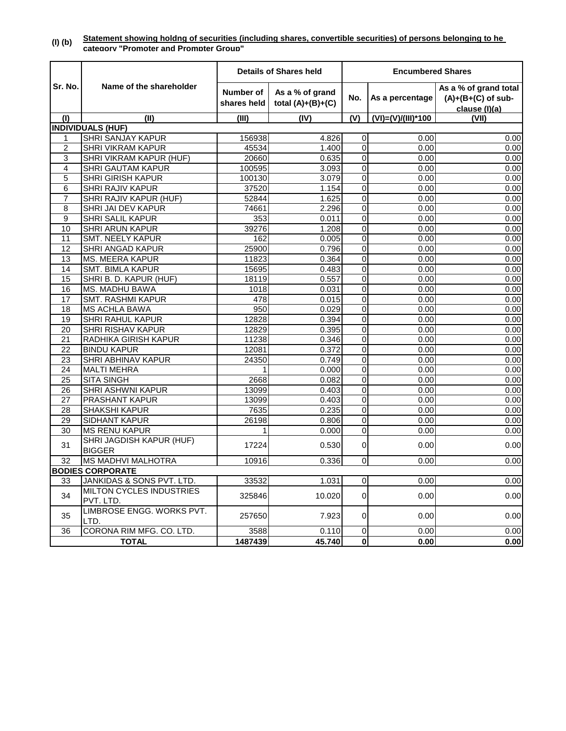|                |                                           |                          | <b>Details of Shares held</b>          | <b>Encumbered Shares</b> |                    |                                                                |
|----------------|-------------------------------------------|--------------------------|----------------------------------------|--------------------------|--------------------|----------------------------------------------------------------|
| Sr. No.        | Name of the shareholder                   | Number of<br>shares held | As a % of grand<br>total $(A)+(B)+(C)$ | No.                      | As a percentage    | As a % of grand total<br>$(A)+(B+(C)$ of sub-<br>clause (I)(a) |
| (1)            | (II)                                      | (III)                    | (IV)                                   | (V)                      | (VI)=(V)/(III)*100 | (VII)                                                          |
|                | <b>INDIVIDUALS (HUF)</b>                  |                          |                                        |                          |                    |                                                                |
| 1              | <b>SHRI SANJAY KAPUR</b>                  | 156938                   | 4.826                                  | 0                        | 0.00               | 0.00                                                           |
| $\overline{c}$ | <b>SHRI VIKRAM KAPUR</b>                  | 45534                    | 1.400                                  | 0                        | 0.00               | 0.00                                                           |
| 3              | SHRI VIKRAM KAPUR (HUF)                   | 20660                    | 0.635                                  | 0                        | 0.00               | 0.00                                                           |
| 4              | SHRI GAUTAM KAPUR                         | 100595                   | 3.093                                  | 0                        | 0.00               | 0.00                                                           |
| 5              | <b>SHRI GIRISH KAPUR</b>                  | 100130                   | 3.079                                  | 0                        | 0.00               | 0.00                                                           |
| 6              | <b>SHRI RAJIV KAPUR</b>                   | 37520                    | 1.154                                  | $\overline{0}$           | 0.00               | 0.00                                                           |
| $\overline{7}$ | SHRI RAJIV KAPUR (HUF)                    | 52844                    | 1.625                                  | $\mathbf 0$              | 0.00               | 0.00                                                           |
| 8              | SHRI JAI DEV KAPUR                        | 74661                    | 2.296                                  | 0                        | 0.00               | 0.00                                                           |
| 9              | <b>SHRI SALIL KAPUR</b>                   | 353                      | 0.011                                  | 0                        | 0.00               | 0.00                                                           |
| 10             | <b>SHRI ARUN KAPUR</b>                    | 39276                    | 1.208                                  | $\overline{0}$           | 0.00               | 0.00                                                           |
| 11             | <b>SMT. NEELY KAPUR</b>                   | 162                      | 0.005                                  | 0                        | 0.00               | 0.00                                                           |
| 12             | <b>SHRI ANGAD KAPUR</b>                   | 25900                    | 0.796                                  | $\mathbf 0$              | 0.00               | 0.00                                                           |
| 13             | MS. MEERA KAPUR                           | 11823                    | 0.364                                  | 0                        | 0.00               | 0.00                                                           |
| 14             | <b>SMT. BIMLA KAPUR</b>                   | 15695                    | 0.483                                  | $\mathbf 0$              | 0.00               | 0.00                                                           |
| 15             | SHRI B. D. KAPUR (HUF)                    | 18119                    | 0.557                                  | $\mathbf 0$              | 0.00               | 0.00                                                           |
| 16             | MS. MADHU BAWA                            | 1018                     | 0.031                                  | 0                        | 0.00               | 0.00                                                           |
| 17             | <b>SMT. RASHMI KAPUR</b>                  | 478                      | 0.015                                  | $\overline{0}$           | 0.00               | 0.00                                                           |
| 18             | <b>MS ACHLA BAWA</b>                      | 950                      | 0.029                                  | 0                        | 0.00               | 0.00                                                           |
| 19             | <b>SHRI RAHUL KAPUR</b>                   | 12828                    | 0.394                                  | 0                        | 0.00               | 0.00                                                           |
| 20             | SHRI RISHAV KAPUR                         | 12829                    | 0.395                                  | 0                        | 0.00               | 0.00                                                           |
| 21             | RADHIKA GIRISH KAPUR                      | 11238                    | 0.346                                  | $\mathbf 0$              | 0.00               | 0.00                                                           |
| 22             | <b>BINDU KAPUR</b>                        | 12081                    | 0.372                                  | 0                        | 0.00               | 0.00                                                           |
| 23             | SHRI ABHINAV KAPUR                        | 24350                    | 0.749                                  | 0                        | 0.00               | 0.00                                                           |
| 24             | <b>MALTI MEHRA</b>                        |                          | 0.000                                  | 0                        | 0.00               | 0.00                                                           |
| 25             | <b>SITA SINGH</b>                         | 2668                     | 0.082                                  | $\mathbf 0$              | 0.00               | 0.00                                                           |
| 26             | SHRI ASHWNI KAPUR                         | 13099                    | 0.403                                  | 0                        | 0.00               | 0.00                                                           |
| 27             | PRASHANT KAPUR                            | 13099                    | 0.403                                  | $\mathbf 0$              | 0.00               | 0.00                                                           |
| 28             | <b>SHAKSHI KAPUR</b>                      | 7635                     | 0.235                                  | 0                        | 0.00               | 0.00                                                           |
| 29             | <b>SIDHANT KAPUR</b>                      | 26198                    | 0.806                                  | $\overline{0}$           | 0.00               | 0.00                                                           |
| 30             | <b>MS RENU KAPUR</b>                      | 1                        | 0.000                                  | 0                        | 0.00               | 0.00                                                           |
| 31             | SHRI JAGDISH KAPUR (HUF)<br><b>BIGGER</b> | 17224                    | 0.530                                  | 0                        | 0.00               | 0.00                                                           |
| 32             | <b>MS MADHVI MALHOTRA</b>                 | 10916                    | 0.336                                  | $\overline{0}$           | 0.00               | 0.00                                                           |
|                | <b>BODIES CORPORATE</b>                   |                          |                                        |                          |                    |                                                                |
| 33             | JANKIDAS & SONS PVT. LTD.                 | 33532                    | 1.031                                  | 0                        | 0.00               | 0.00                                                           |
| 34             | MILTON CYCLES INDUSTRIES<br>PVT. LTD.     | 325846                   | 10.020                                 | 0                        | 0.00               | 0.00                                                           |
| 35             | LIMBROSE ENGG. WORKS PVT.<br>LTD.         | 257650                   | 7.923                                  | $\overline{0}$           | 0.00               | 0.00                                                           |
| 36             | CORONA RIM MFG. CO. LTD.                  | 3588                     | 0.110                                  | $\overline{0}$           | 0.00               | 0.00                                                           |
| <b>TOTAL</b>   |                                           | 1487439                  | 45.740                                 | $\pmb{0}$                | 0.00               | 0.00                                                           |

#### **(I) (b) Statement showing holdng of securities (including shares, convertible securities) of persons belonging to he category "Promoter and Prompter Group"**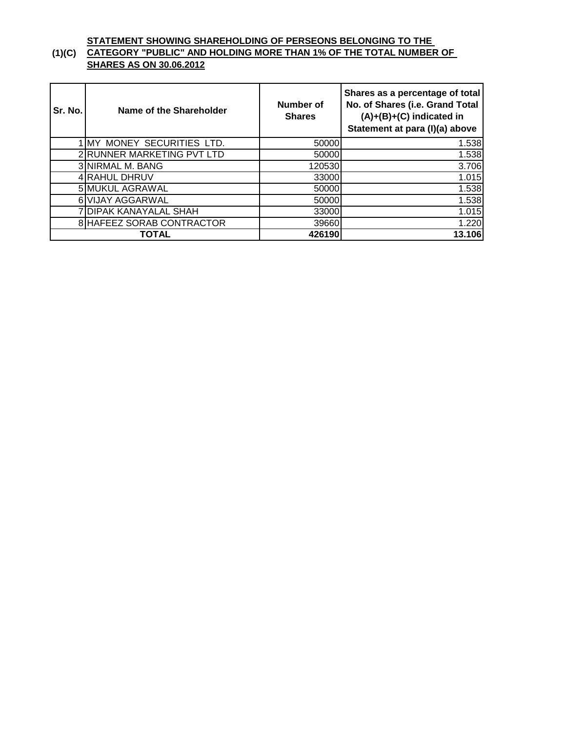### **(1)(C) CATEGORY "PUBLIC" AND HOLDING MORE THAN 1% OF THE TOTAL NUMBER OF STATEMENT SHOWING SHAREHOLDING OF PERSEONS BELONGING TO THE SHARES AS ON 30.06.2012**

| Sr. No. | Name of the Shareholder    | Number of<br><b>Shares</b> | Shares as a percentage of total<br>No. of Shares (i.e. Grand Total<br>$(A)+(B)+(C)$ indicated in<br>Statement at para (I)(a) above |
|---------|----------------------------|----------------------------|------------------------------------------------------------------------------------------------------------------------------------|
|         | MY MONEY SECURITIES LTD.   | 50000                      | 1.538                                                                                                                              |
|         | 2 RUNNER MARKETING PVT LTD | 50000                      | 1.538                                                                                                                              |
|         | 3 NIRMAL M. BANG           | 120530                     | 3.706                                                                                                                              |
|         | 4 RAHUL DHRUV              | 33000                      | 1.015                                                                                                                              |
|         | 5 MUKUL AGRAWAL            | 50000                      | 1.538                                                                                                                              |
|         | 6 VIJAY AGGARWAL           | 50000                      | 1.538                                                                                                                              |
|         | 7 DIPAK KANAYALAL SHAH     | 33000                      | 1.015                                                                                                                              |
|         | 8 HAFEEZ SORAB CONTRACTOR  | 39660                      | 1.220                                                                                                                              |
|         | TOTAL                      | 426190                     | 13.106                                                                                                                             |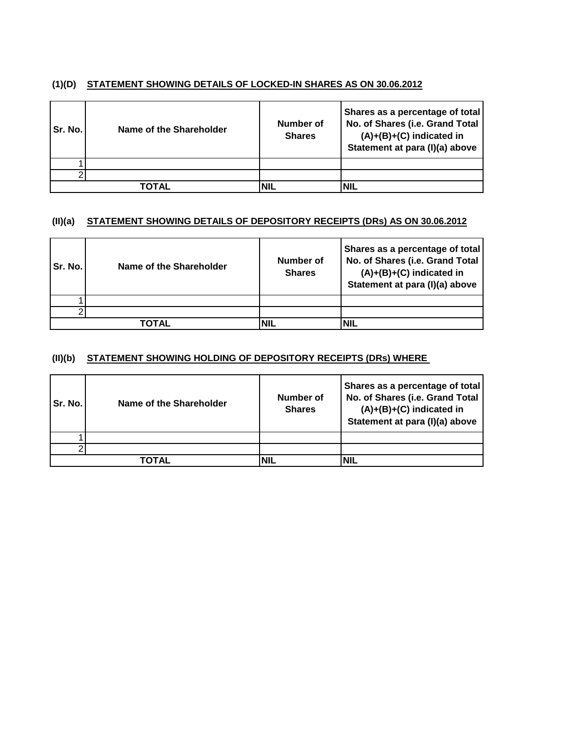#### **(1)(D) STATEMENT SHOWING DETAILS OF LOCKED-IN SHARES AS ON 30.06.2012**

| Sr. No. | Name of the Shareholder | <b>Number of</b><br><b>Shares</b> | Shares as a percentage of total<br>No. of Shares (i.e. Grand Total<br>$(A)+(B)+(C)$ indicated in<br>Statement at para (I)(a) above |
|---------|-------------------------|-----------------------------------|------------------------------------------------------------------------------------------------------------------------------------|
|         |                         |                                   |                                                                                                                                    |
|         |                         |                                   |                                                                                                                                    |
|         | ΤΟΤΑL                   |                                   | NIL                                                                                                                                |

#### **(II)(a) STATEMENT SHOWING DETAILS OF DEPOSITORY RECEIPTS (DRs) AS ON 30.06.2012**

| Sr. No. | Name of the Shareholder | Number of<br><b>Shares</b> | Shares as a percentage of total<br>No. of Shares (i.e. Grand Total<br>$(A)+(B)+(C)$ indicated in<br>Statement at para (I)(a) above |
|---------|-------------------------|----------------------------|------------------------------------------------------------------------------------------------------------------------------------|
|         |                         |                            |                                                                                                                                    |
|         |                         |                            |                                                                                                                                    |
|         | TOTAL                   | <b>NIL</b>                 | <b>NIL</b>                                                                                                                         |

#### **(II)(b) STATEMENT SHOWING HOLDING OF DEPOSITORY RECEIPTS (DRs) WHERE**

| Sr. No. | Name of the Shareholder | <b>Number of</b><br><b>Shares</b> | Shares as a percentage of total<br>No. of Shares (i.e. Grand Total<br>$(A)+(B)+(C)$ indicated in<br>Statement at para (I)(a) above |
|---------|-------------------------|-----------------------------------|------------------------------------------------------------------------------------------------------------------------------------|
|         |                         |                                   |                                                                                                                                    |
|         |                         |                                   |                                                                                                                                    |
|         | ΤΟΤΑL                   | NIL                               | <b>NIL</b>                                                                                                                         |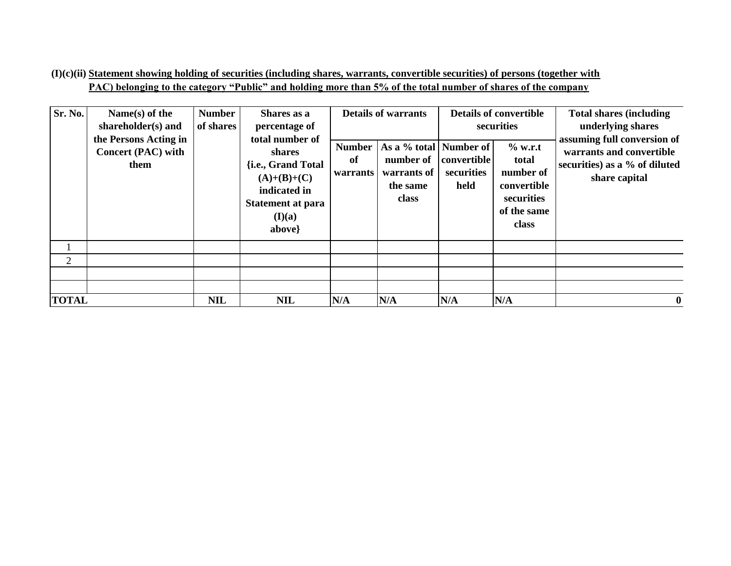**(I)(c)(ii) Statement showing holding of securities (including shares, warrants, convertible securities) of persons (together with PAC) belonging to the category "Public" and holding more than 5% of the total number of shares of the company**

| Sr. No.      | Name(s) of the<br>shareholder(s) and<br>the Persons Acting in<br><b>Concert (PAC) with</b><br>them | <b>Number</b><br>of shares | Shares as a<br>percentage of<br>total number of<br>shares<br>{i.e., Grand Total<br>$(A)+(B)+(C)$<br>indicated in<br><b>Statement at para</b><br>(I)(a)<br>above} | <b>Number</b><br>of<br>warrants | <b>Details of warrants</b><br>As a % total   Number of  <br>number of<br>warrants of<br>the same<br>class | <b>convertible</b><br>securities<br>held | <b>Details of convertible</b><br>securities<br>$%$ w.r.t<br>total<br>number of<br>convertible<br>securities<br>of the same<br>class | <b>Total shares (including)</b><br>underlying shares<br>assuming full conversion of<br>warrants and convertible<br>securities) as a % of diluted<br>share capital |
|--------------|----------------------------------------------------------------------------------------------------|----------------------------|------------------------------------------------------------------------------------------------------------------------------------------------------------------|---------------------------------|-----------------------------------------------------------------------------------------------------------|------------------------------------------|-------------------------------------------------------------------------------------------------------------------------------------|-------------------------------------------------------------------------------------------------------------------------------------------------------------------|
|              |                                                                                                    |                            |                                                                                                                                                                  |                                 |                                                                                                           |                                          |                                                                                                                                     |                                                                                                                                                                   |
| 2            |                                                                                                    |                            |                                                                                                                                                                  |                                 |                                                                                                           |                                          |                                                                                                                                     |                                                                                                                                                                   |
|              |                                                                                                    |                            |                                                                                                                                                                  |                                 |                                                                                                           |                                          |                                                                                                                                     |                                                                                                                                                                   |
|              |                                                                                                    |                            |                                                                                                                                                                  |                                 |                                                                                                           |                                          |                                                                                                                                     |                                                                                                                                                                   |
| <b>TOTAL</b> |                                                                                                    | <b>NIL</b>                 | <b>NIL</b>                                                                                                                                                       | N/A                             | N/A                                                                                                       | N/A                                      | N/A                                                                                                                                 | $\bf{0}$                                                                                                                                                          |